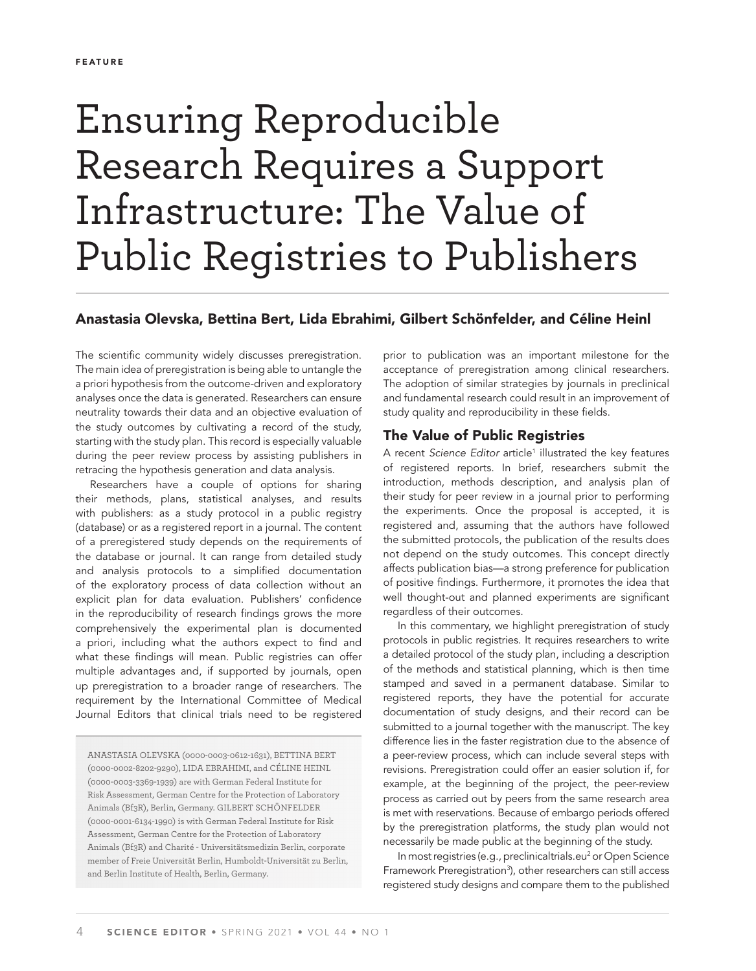# Ensuring Reproducible Research Requires a Support Infrastructure: The Value of Public Registries to Publishers

# Anastasia Olevska, Bettina Bert, Lida Ebrahimi, Gilbert Schönfelder, and Céline Heinl

The scientific community widely discusses preregistration. The main idea of preregistration is being able to untangle the a priori hypothesis from the outcome-driven and exploratory analyses once the data is generated. Researchers can ensure neutrality towards their data and an objective evaluation of the study outcomes by cultivating a record of the study, starting with the study plan. This record is especially valuable during the peer review process by assisting publishers in retracing the hypothesis generation and data analysis.

Researchers have a couple of options for sharing their methods, plans, statistical analyses, and results with publishers: as a study protocol in a public registry (database) or as a registered report in a journal. The content of a preregistered study depends on the requirements of the database or journal. It can range from detailed study and analysis protocols to a simplified documentation of the exploratory process of data collection without an explicit plan for data evaluation. Publishers' confidence in the reproducibility of research findings grows the more comprehensively the experimental plan is documented a priori, including what the authors expect to find and what these findings will mean. Public registries can offer multiple advantages and, if supported by journals, open up preregistration to a broader range of researchers. The requirement by the International Committee of Medical Journal Editors that clinical trials need to be registered

ANASTASIA OLEVSKA (0000-0003-0612-1631), BETTINA BERT (0000-0002-8202-9290), LIDA EBRAHIMI, and CÉLINE HEINL (0000-0003-3369-1939) are with German Federal Institute for Risk Assessment, German Centre for the Protection of Laboratory Animals (Bf3R), Berlin, Germany. GILBERT SCHÖNFELDER (0000-0001-6134-1990) is with German Federal Institute for Risk Assessment, German Centre for the Protection of Laboratory Animals (Bf3R) and Charité - Universitätsmedizin Berlin, corporate member of Freie Universität Berlin, Humboldt-Universität zu Berlin, and Berlin Institute of Health, Berlin, Germany.

prior to publication was an important milestone for the acceptance of preregistration among clinical researchers. The adoption of similar strategies by journals in preclinical and fundamental research could result in an improvement of study quality and reproducibility in these fields.

## The Value of Public Registries

A recent *Science Editor* article<sup>1</sup> illustrated the key features of registered reports. In brief, researchers submit the introduction, methods description, and analysis plan of their study for peer review in a journal prior to performing the experiments. Once the proposal is accepted, it is registered and, assuming that the authors have followed the submitted protocols, the publication of the results does not depend on the study outcomes. This concept directly affects publication bias—a strong preference for publication of positive findings. Furthermore, it promotes the idea that well thought-out and planned experiments are significant regardless of their outcomes.

In this commentary, we highlight preregistration of study protocols in public registries. It requires researchers to write a detailed protocol of the study plan, including a description of the methods and statistical planning, which is then time stamped and saved in a permanent database. Similar to registered reports, they have the potential for accurate documentation of study designs, and their record can be submitted to a journal together with the manuscript. The key difference lies in the faster registration due to the absence of a peer-review process, which can include several steps with revisions. Preregistration could offer an easier solution if, for example, at the beginning of the project, the peer-review process as carried out by peers from the same research area is met with reservations. Because of embargo periods offered by the preregistration platforms, the study plan would not necessarily be made public at the beginning of the study.

In most registries (e.g., preclinicaltrials.eu<sup>2</sup> or Open Science Framework Preregistration<sup>3</sup>), other researchers can still access registered study designs and compare them to the published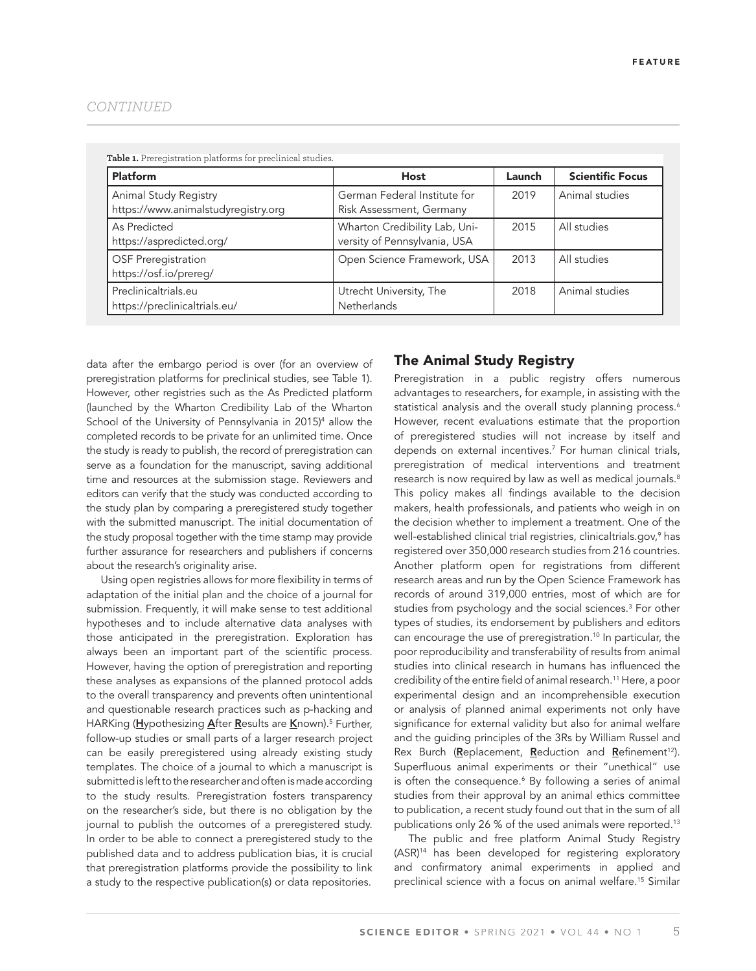|--|

| Table 1. Preregistration platforms for preclinical studies.  |                                                               |        |                         |  |
|--------------------------------------------------------------|---------------------------------------------------------------|--------|-------------------------|--|
| <b>Platform</b>                                              | <b>Host</b>                                                   | Launch | <b>Scientific Focus</b> |  |
| Animal Study Registry<br>https://www.animalstudyregistry.org | German Federal Institute for<br>Risk Assessment, Germany      | 2019   | Animal studies          |  |
| As Predicted<br>https://aspredicted.org/                     | Wharton Credibility Lab, Uni-<br>versity of Pennsylvania, USA | 2015   | All studies             |  |
| <b>OSF Preregistration</b><br>https://osf.io/prereg/         | Open Science Framework, USA                                   | 2013   | All studies             |  |
| Preclinicaltrials.eu<br>https://preclinicaltrials.eu/        | Utrecht University, The<br><b>Netherlands</b>                 | 2018   | Animal studies          |  |

data after the embargo period is over (for an overview of preregistration platforms for preclinical studies, see Table 1). However, other registries such as the As Predicted platform (launched by the Wharton Credibility Lab of the Wharton School of the University of Pennsylvania in 2015)<sup>4</sup> allow the completed records to be private for an unlimited time. Once the study is ready to publish, the record of preregistration can serve as a foundation for the manuscript, saving additional time and resources at the submission stage. Reviewers and editors can verify that the study was conducted according to the study plan by comparing a preregistered study together with the submitted manuscript. The initial documentation of the study proposal together with the time stamp may provide further assurance for researchers and publishers if concerns about the research's originality arise.

Using open registries allows for more flexibility in terms of adaptation of the initial plan and the choice of a journal for submission. Frequently, it will make sense to test additional hypotheses and to include alternative data analyses with those anticipated in the preregistration. Exploration has always been an important part of the scientific process. However, having the option of preregistration and reporting these analyses as expansions of the planned protocol adds to the overall transparency and prevents often unintentional and questionable research practices such as p-hacking and HARKing (Hypothesizing After Results are Known).<sup>5</sup> Further, follow-up studies or small parts of a larger research project can be easily preregistered using already existing study templates. The choice of a journal to which a manuscript is submitted is left to the researcher and often is made according to the study results. Preregistration fosters transparency on the researcher's side, but there is no obligation by the journal to publish the outcomes of a preregistered study. In order to be able to connect a preregistered study to the published data and to address publication bias, it is crucial that preregistration platforms provide the possibility to link a study to the respective publication(s) or data repositories.

# The Animal Study Registry

Preregistration in a public registry offers numerous advantages to researchers, for example, in assisting with the statistical analysis and the overall study planning process.<sup>6</sup> However, recent evaluations estimate that the proportion of preregistered studies will not increase by itself and depends on external incentives.7 For human clinical trials, preregistration of medical interventions and treatment research is now required by law as well as medical journals.<sup>8</sup> This policy makes all findings available to the decision makers, health professionals, and patients who weigh in on the decision whether to implement a treatment. One of the well-established clinical trial registries, clinicaltrials.gov,<sup>9</sup> has registered over 350,000 research studies from 216 countries. Another platform open for registrations from different research areas and run by the Open Science Framework has records of around 319,000 entries, most of which are for studies from psychology and the social sciences.<sup>3</sup> For other types of studies, its endorsement by publishers and editors can encourage the use of preregistration.<sup>10</sup> In particular, the poor reproducibility and transferability of results from animal studies into clinical research in humans has influenced the credibility of the entire field of animal research.<sup>11</sup> Here, a poor experimental design and an incomprehensible execution or analysis of planned animal experiments not only have significance for external validity but also for animal welfare and the guiding principles of the 3Rs by William Russel and Rex Burch (Replacement, Reduction and Refinement<sup>12</sup>). Superfluous animal experiments or their "unethical" use is often the consequence.<sup>6</sup> By following a series of animal studies from their approval by an animal ethics committee to publication, a recent study found out that in the sum of all publications only 26 % of the used animals were reported.<sup>13</sup>

The public and free platform Animal Study Registry (ASR)14 has been developed for registering exploratory and confirmatory animal experiments in applied and preclinical science with a focus on animal welfare.15 Similar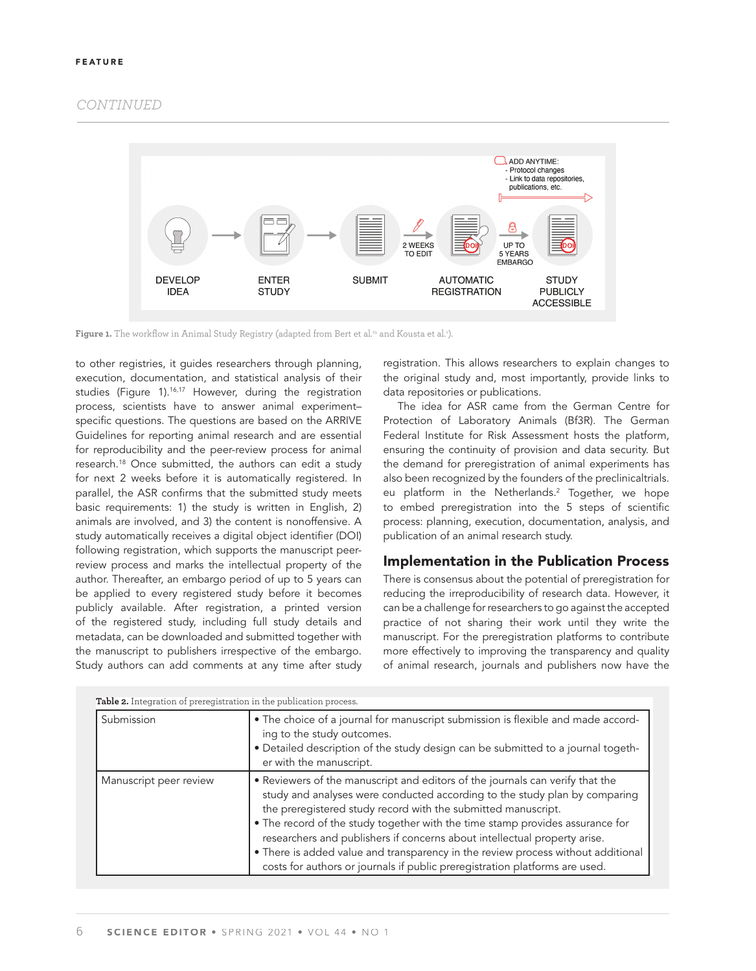## *CONTINUED*



**Figure 1.** The workflow in Animal Study Registry (adapted from Bert et al.<sup>15</sup> and Kousta et al.<sup>1</sup>).

to other registries, it guides researchers through planning, execution, documentation, and statistical analysis of their studies (Figure 1).<sup>16,17</sup> However, during the registration process, scientists have to answer animal experiment– specific questions. The questions are based on the ARRIVE Guidelines for reporting animal research and are essential for reproducibility and the peer-review process for animal research.18 Once submitted, the authors can edit a study for next 2 weeks before it is automatically registered. In parallel, the ASR confirms that the submitted study meets basic requirements: 1) the study is written in English, 2) animals are involved, and 3) the content is nonoffensive. A study automatically receives a digital object identifier (DOI) following registration, which supports the manuscript peerreview process and marks the intellectual property of the author. Thereafter, an embargo period of up to 5 years can be applied to every registered study before it becomes publicly available. After registration, a printed version of the registered study, including full study details and metadata, can be downloaded and submitted together with the manuscript to publishers irrespective of the embargo. Study authors can add comments at any time after study

registration. This allows researchers to explain changes to the original study and, most importantly, provide links to data repositories or publications.

The idea for ASR came from the German Centre for Protection of Laboratory Animals (Bf3R). The German Federal Institute for Risk Assessment hosts the platform, ensuring the continuity of provision and data security. But the demand for preregistration of animal experiments has also been recognized by the founders of the preclinicaltrials. eu platform in the Netherlands.2 Together, we hope to embed preregistration into the 5 steps of scientific process: planning, execution, documentation, analysis, and publication of an animal research study.

## Implementation in the Publication Process

There is consensus about the potential of preregistration for reducing the irreproducibility of research data. However, it can be a challenge for researchers to go against the accepted practice of not sharing their work until they write the manuscript. For the preregistration platforms to contribute more effectively to improving the transparency and quality of animal research, journals and publishers now have the

| Table 2. Integration of preregistration in the publication process. |                                                                                                                                                                                                                                                                                                                                                                                                                                                                                                                                                               |  |  |
|---------------------------------------------------------------------|---------------------------------------------------------------------------------------------------------------------------------------------------------------------------------------------------------------------------------------------------------------------------------------------------------------------------------------------------------------------------------------------------------------------------------------------------------------------------------------------------------------------------------------------------------------|--|--|
| Submission                                                          | . The choice of a journal for manuscript submission is flexible and made accord-<br>ing to the study outcomes.<br>. Detailed description of the study design can be submitted to a journal togeth-<br>er with the manuscript.                                                                                                                                                                                                                                                                                                                                 |  |  |
| Manuscript peer review                                              | • Reviewers of the manuscript and editors of the journals can verify that the<br>study and analyses were conducted according to the study plan by comparing<br>the preregistered study record with the submitted manuscript.<br>• The record of the study together with the time stamp provides assurance for<br>researchers and publishers if concerns about intellectual property arise.<br>• There is added value and transparency in the review process without additional<br>costs for authors or journals if public preregistration platforms are used. |  |  |